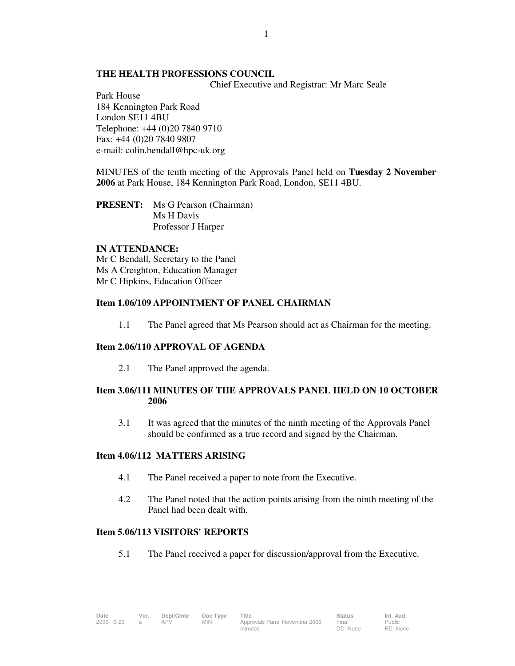## **THE HEALTH PROFESSIONS COUNCIL**

Chief Executive and Registrar: Mr Marc Seale

Park House 184 Kennington Park Road London SE11 4BU Telephone: +44 (0)20 7840 9710 Fax: +44 (0)20 7840 9807 e-mail: colin.bendall@hpc-uk.org

MINUTES of the tenth meeting of the Approvals Panel held on **Tuesday 2 November 2006** at Park House, 184 Kennington Park Road, London, SE11 4BU.

**PRESENT:** Ms G Pearson (Chairman) Ms H Davis Professor J Harper

#### **IN ATTENDANCE:**

Mr C Bendall, Secretary to the Panel Ms A Creighton, Education Manager Mr C Hipkins, Education Officer

### **Item 1.06/109 APPOINTMENT OF PANEL CHAIRMAN**

1.1 The Panel agreed that Ms Pearson should act as Chairman for the meeting.

### **Item 2.06/110 APPROVAL OF AGENDA**

2.1 The Panel approved the agenda.

# **Item 3.06/111 MINUTES OF THE APPROVALS PANEL HELD ON 10 OCTOBER 2006**

 3.1 It was agreed that the minutes of the ninth meeting of the Approvals Panel should be confirmed as a true record and signed by the Chairman.

### **Item 4.06/112 MATTERS ARISING**

- 4.1 The Panel received a paper to note from the Executive.
- 4.2 The Panel noted that the action points arising from the ninth meeting of the Panel had been dealt with.

# **Item 5.06/113 VISITORS' REPORTS**

5.1 The Panel received a paper for discussion/approval from the Executive.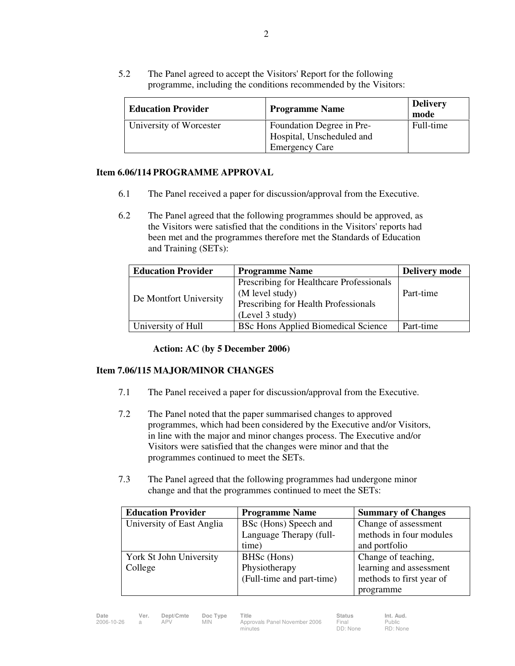5.2 The Panel agreed to accept the Visitors' Report for the following programme, including the conditions recommended by the Visitors:

| <b>Education Provider</b> | <b>Programme Name</b>                                  | <b>Delivery</b><br>mode |
|---------------------------|--------------------------------------------------------|-------------------------|
| University of Worcester   | Foundation Degree in Pre-<br>Hospital, Unscheduled and | Full-time               |
|                           | <b>Emergency Care</b>                                  |                         |

# **Item 6.06/114 PROGRAMME APPROVAL**

- 6.1 The Panel received a paper for discussion/approval from the Executive.
- 6.2 The Panel agreed that the following programmes should be approved, as the Visitors were satisfied that the conditions in the Visitors' reports had been met and the programmes therefore met the Standards of Education and Training (SETs):

| <b>Education Provider</b> | <b>Programme Name</b>                      | <b>Delivery mode</b> |
|---------------------------|--------------------------------------------|----------------------|
| De Montfort University    | Prescribing for Healthcare Professionals   |                      |
|                           | (M level study)                            | Part-time            |
|                           | Prescribing for Health Professionals       |                      |
|                           | (Level 3 study)                            |                      |
| University of Hull        | <b>BSc Hons Applied Biomedical Science</b> | Part-time            |

**Action: AC (by 5 December 2006)** 

# **Item 7.06/115 MAJOR/MINOR CHANGES**

- 7.1 The Panel received a paper for discussion/approval from the Executive.
- 7.2 The Panel noted that the paper summarised changes to approved programmes, which had been considered by the Executive and/or Visitors, in line with the major and minor changes process. The Executive and/or Visitors were satisfied that the changes were minor and that the programmes continued to meet the SETs.
- 7.3 The Panel agreed that the following programmes had undergone minor change and that the programmes continued to meet the SETs:

| <b>Education Provider</b> | <b>Programme Name</b>     | <b>Summary of Changes</b> |
|---------------------------|---------------------------|---------------------------|
| University of East Anglia | BSc (Hons) Speech and     | Change of assessment      |
|                           | Language Therapy (full-   | methods in four modules   |
|                           | time)                     | and portfolio             |
| York St John University   | BHSc (Hons)               | Change of teaching,       |
| College                   | Physiotherapy             | learning and assessment   |
|                           | (Full-time and part-time) | methods to first year of  |
|                           |                           | programme                 |

**Date Ver. Dept/Cmte Doc Type Title Status Int. Aud.**

Public RD: None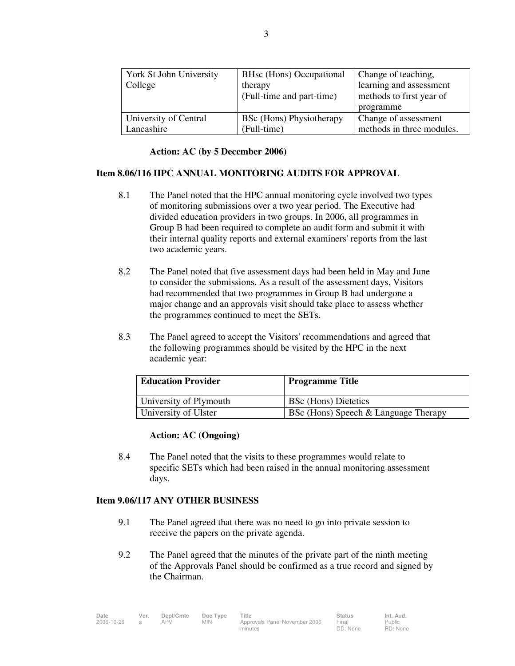| York St John University | BHsc (Hons) Occupational  | Change of teaching,       |  |
|-------------------------|---------------------------|---------------------------|--|
| College                 | therapy                   | learning and assessment   |  |
|                         | (Full-time and part-time) | methods to first year of  |  |
|                         |                           | programme                 |  |
| University of Central   | BSc (Hons) Physiotherapy  | Change of assessment      |  |
| Lancashire              | (Full-time)               | methods in three modules. |  |

#### **Action: AC (by 5 December 2006)**

# **Item 8.06/116 HPC ANNUAL MONITORING AUDITS FOR APPROVAL**

- 8.1 The Panel noted that the HPC annual monitoring cycle involved two types of monitoring submissions over a two year period. The Executive had divided education providers in two groups. In 2006, all programmes in Group B had been required to complete an audit form and submit it with their internal quality reports and external examiners' reports from the last two academic years.
- 8.2 The Panel noted that five assessment days had been held in May and June to consider the submissions. As a result of the assessment days, Visitors had recommended that two programmes in Group B had undergone a major change and an approvals visit should take place to assess whether the programmes continued to meet the SETs.
- 8.3 The Panel agreed to accept the Visitors' recommendations and agreed that the following programmes should be visited by the HPC in the next academic year:

| <b>Education Provider</b> | <b>Programme Title</b>               |
|---------------------------|--------------------------------------|
| University of Plymouth    | <b>BSc</b> (Hons) Dietetics          |
| University of Ulster      | BSc (Hons) Speech & Language Therapy |

## **Action: AC (Ongoing)**

8.4 The Panel noted that the visits to these programmes would relate to specific SETs which had been raised in the annual monitoring assessment days.

# **Item 9.06/117 ANY OTHER BUSINESS**

- 9.1 The Panel agreed that there was no need to go into private session to receive the papers on the private agenda.
- 9.2 The Panel agreed that the minutes of the private part of the ninth meeting of the Approvals Panel should be confirmed as a true record and signed by the Chairman.

| Date              | Ver. | Dept/Cmte | Doc Type | Title                         | <b>Status</b> | Int. Aud.     |
|-------------------|------|-----------|----------|-------------------------------|---------------|---------------|
| 2006-10-26<br>APV |      |           | MIN.     | Approvals Panel November 2006 | Final         | <b>Public</b> |
|                   |      |           | minutes  | DD: None                      | RD: None      |               |